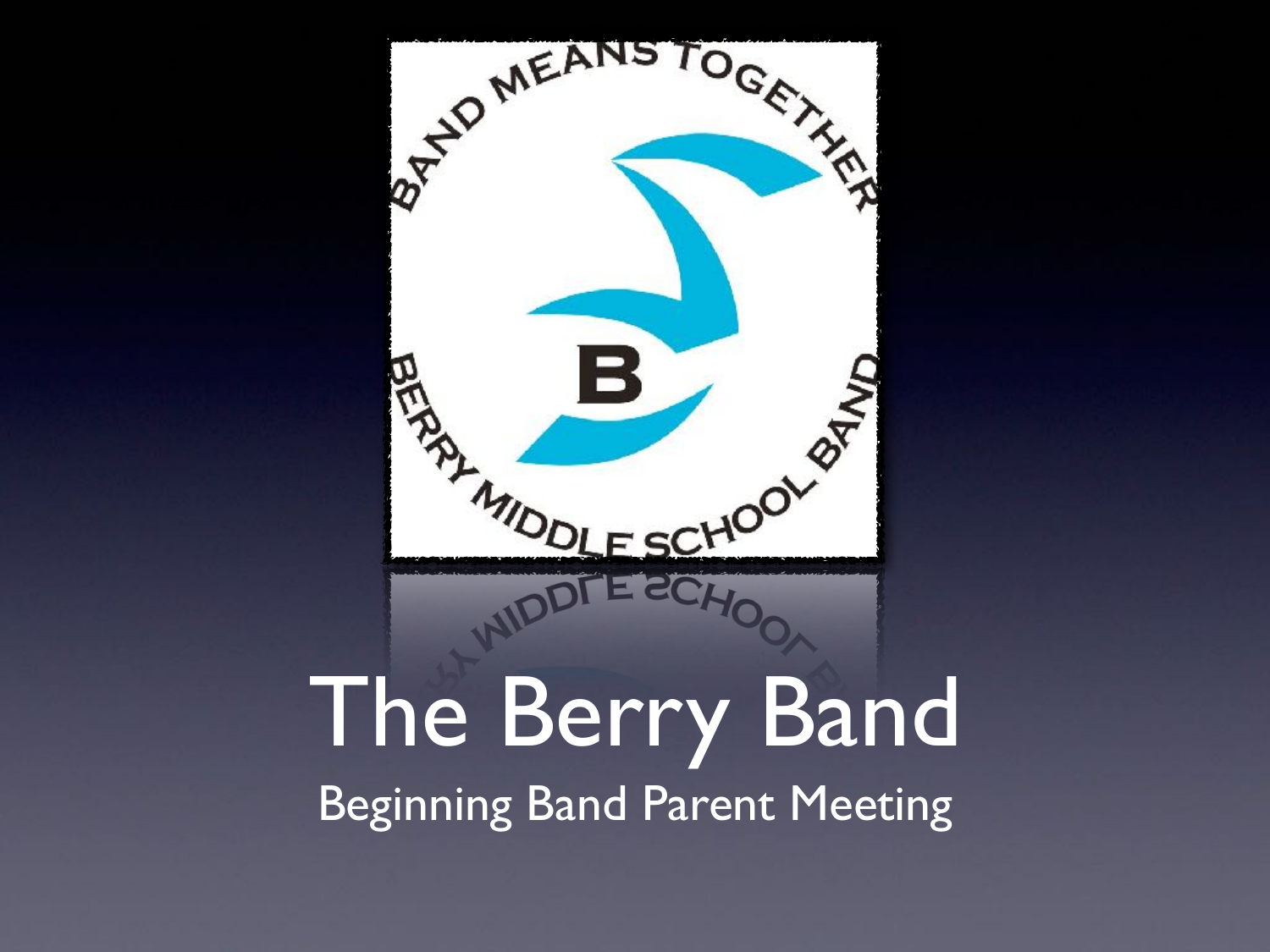

#### The Berry Band Beginning Band Parent Meeting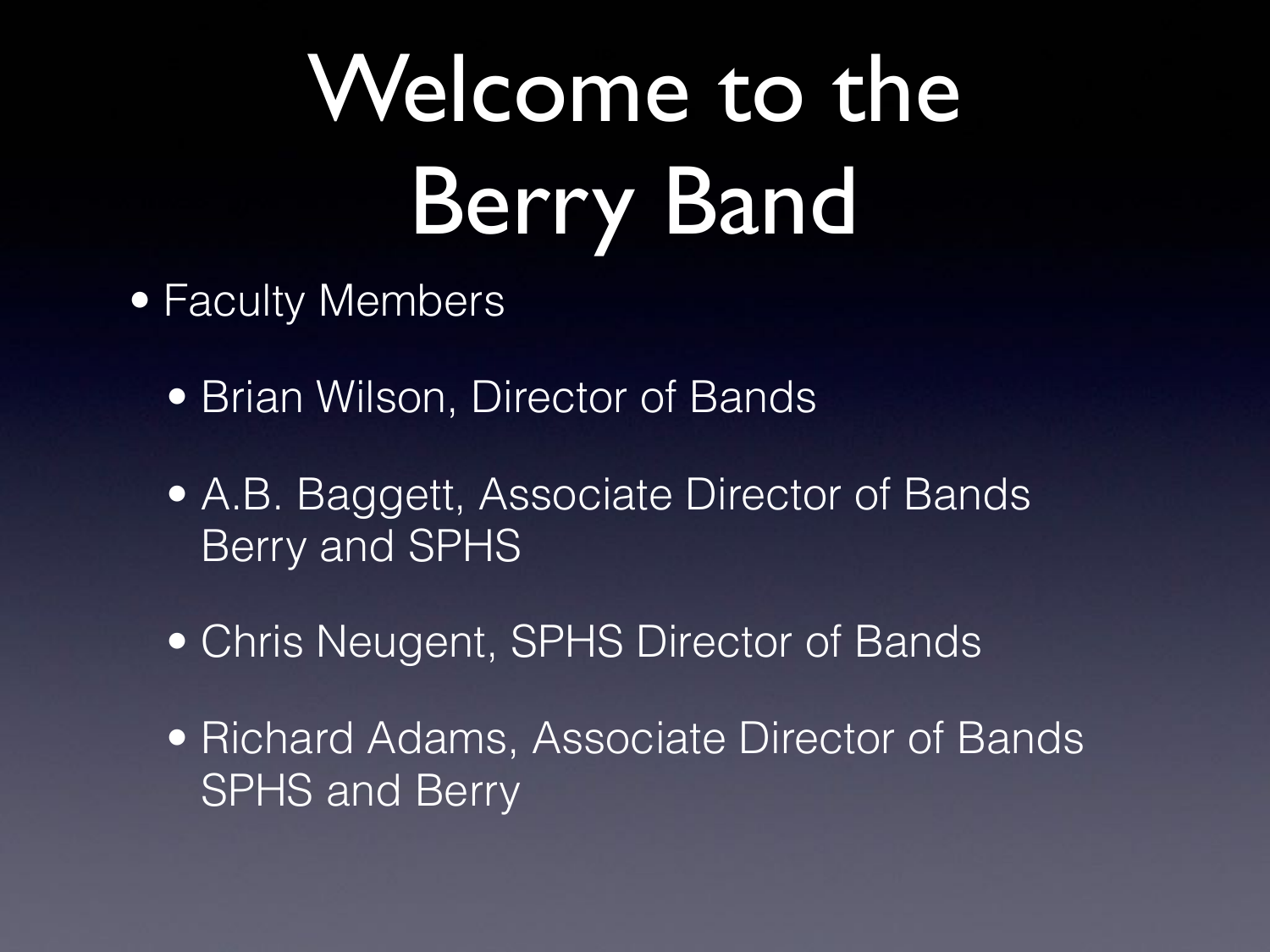## Welcome to the Berry Band

- Faculty Members
	- Brian Wilson, Director of Bands
	- A.B. Baggett, Associate Director of Bands Berry and SPHS
	- Chris Neugent, SPHS Director of Bands
	- Richard Adams, Associate Director of Bands SPHS and Berry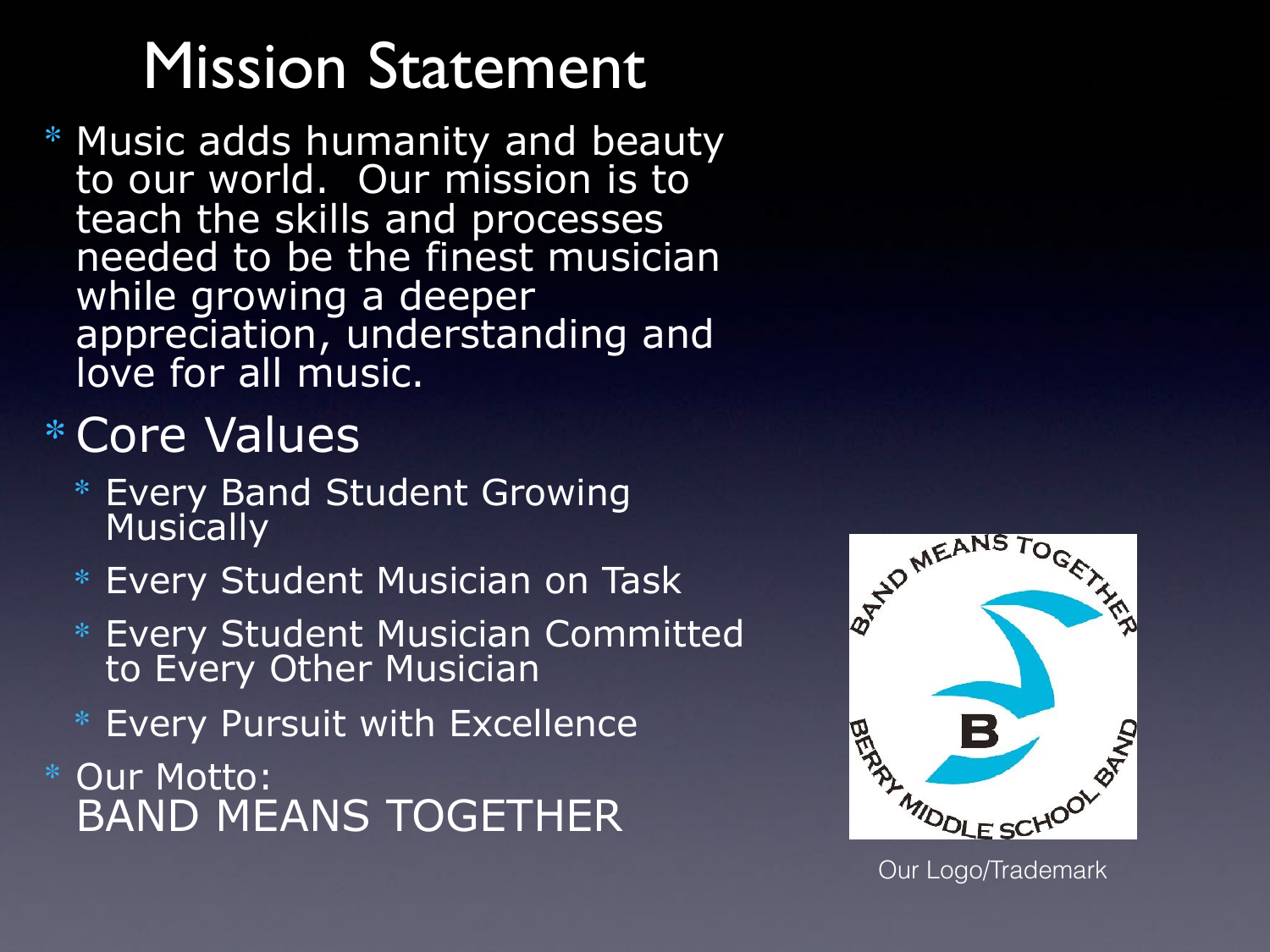#### Mission Statement

Music adds humanity and beauty to our world. Our mission is to teach the skills and processes needed to be the finest musician while growing a deeper appreciation, understanding and love for all music.

#### ∗Core Values

- ∗ Every Band Student Growing **Musically**
- Every Student Musician on Task
- ∗ Every Student Musician Committed to Every Other Musician
- Every Pursuit with Excellence

∗ Our Motto: BAND MEANS TOGETHER

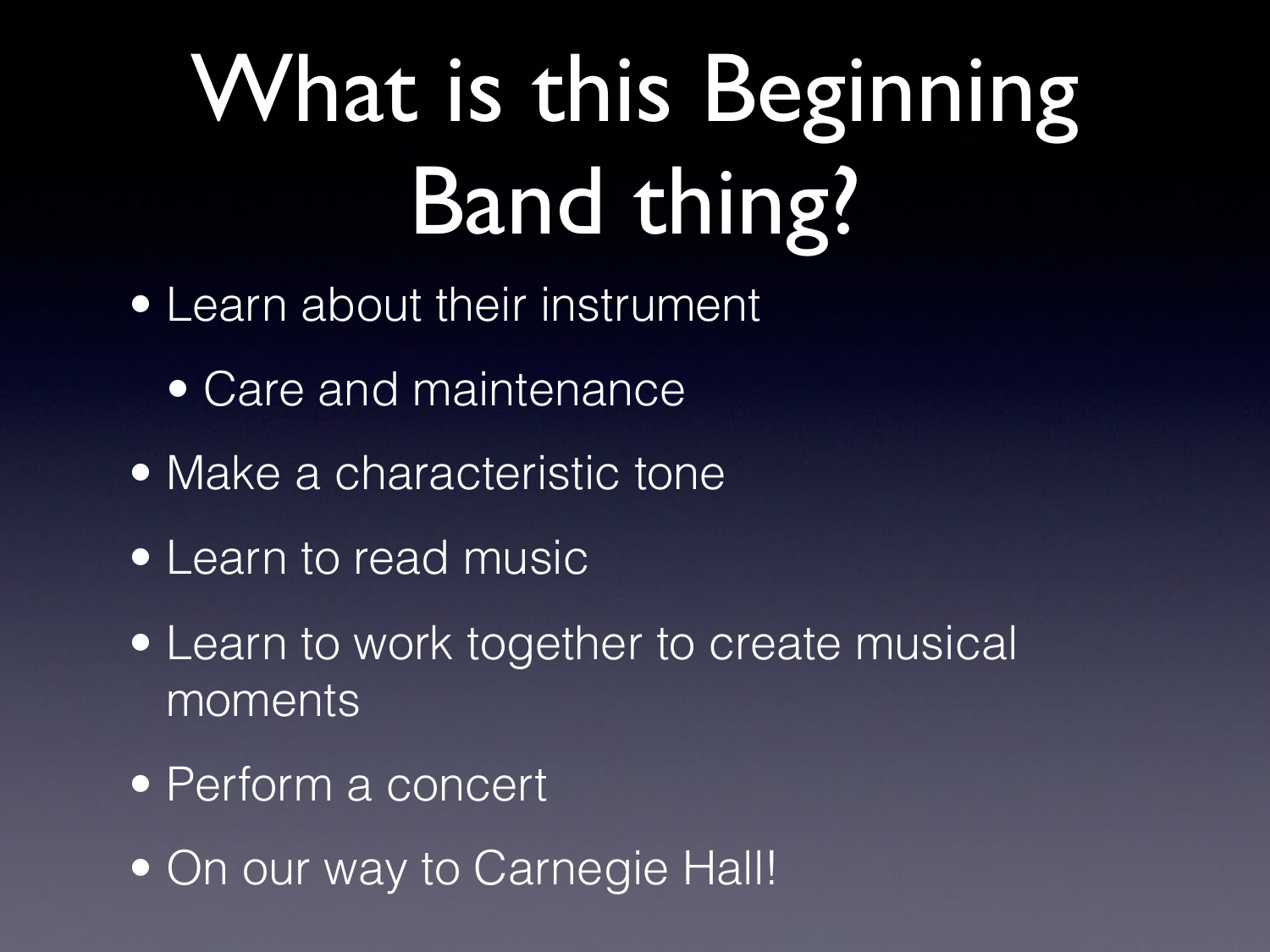## What is this Beginning Band thing?

- Learn about their instrument
	- Care and maintenance
- Make a characteristic tone
- Learn to read music
- Learn to work together to create musical moments
- Perform a concert
- On our way to Carnegie Hall!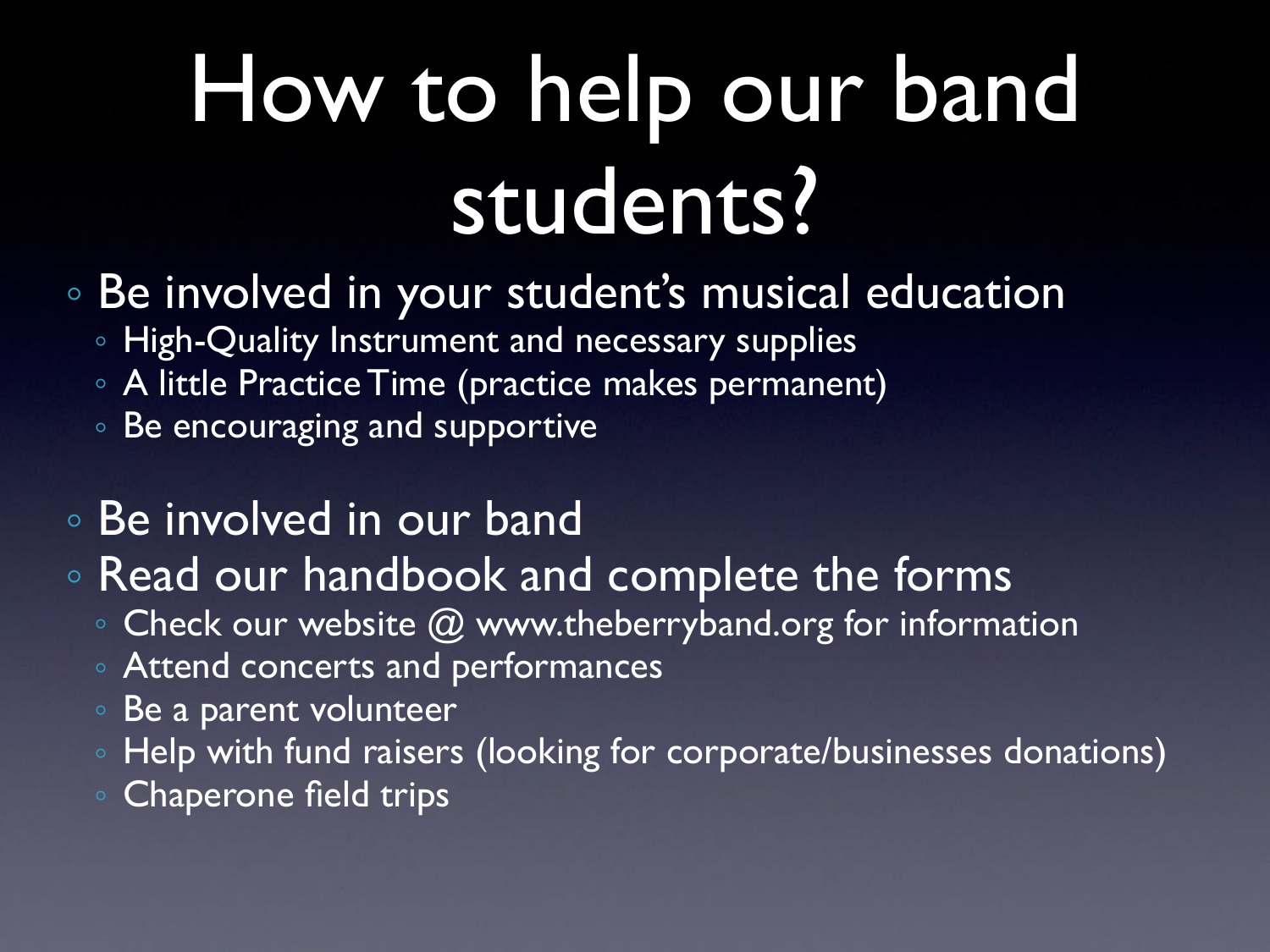## How to help our band students?

- Be involved in your student's musical education
	- High-Quality Instrument and necessary supplies
	- A little Practice Time (practice makes permanent)
	- Be encouraging and supportive
- Be involved in our band
- Read our handbook and complete the forms
	- $\circ$  Check our website  $\omega$  www.theberryband.org for information
	- Attend concerts and performances
	- Be a parent volunteer
	- Help with fund raisers (looking for corporate/businesses donations)
	- Chaperone field trips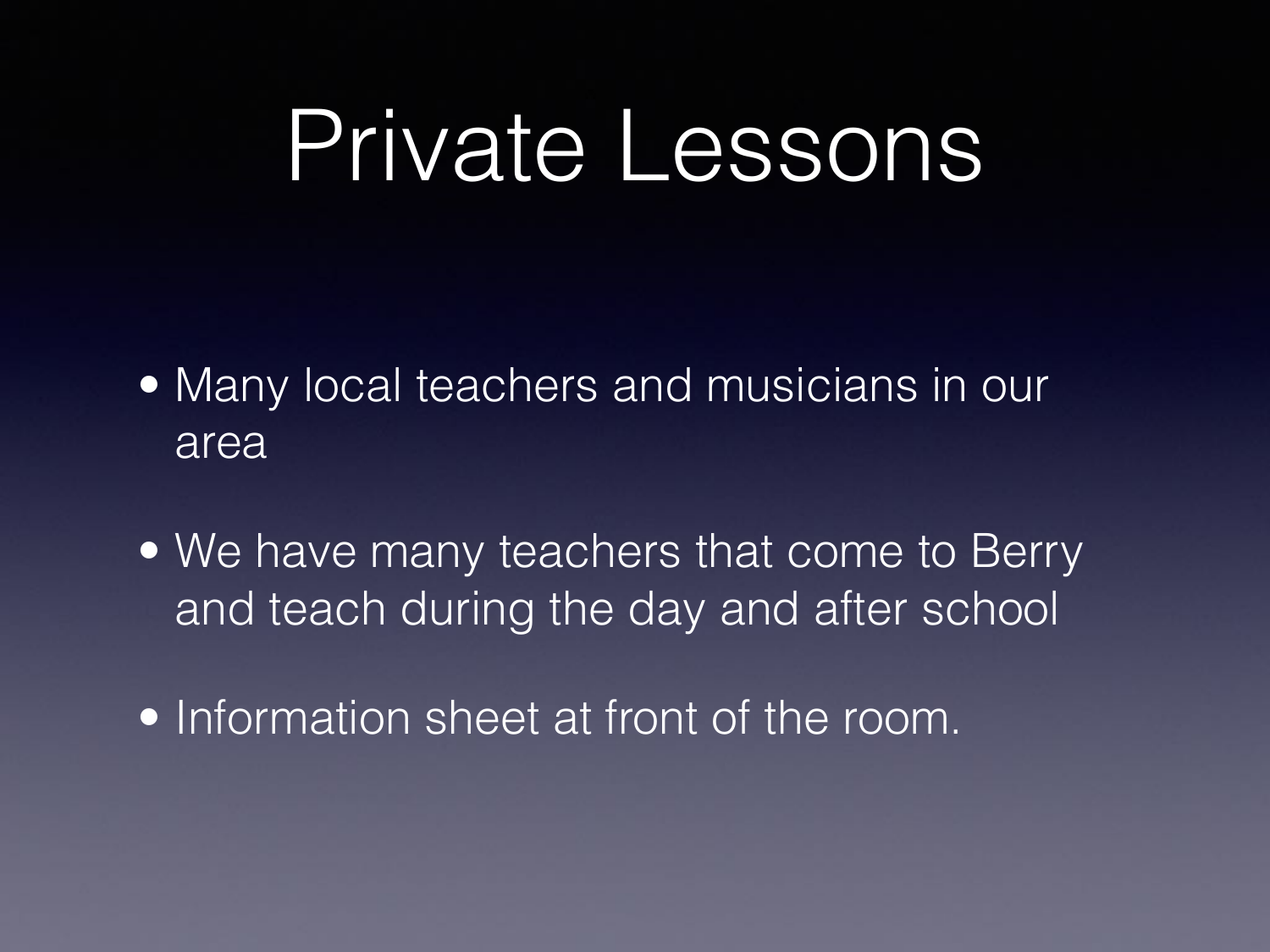### Private Lessons

- Many local teachers and musicians in our area
- We have many teachers that come to Berry and teach during the day and after school
- Information sheet at front of the room.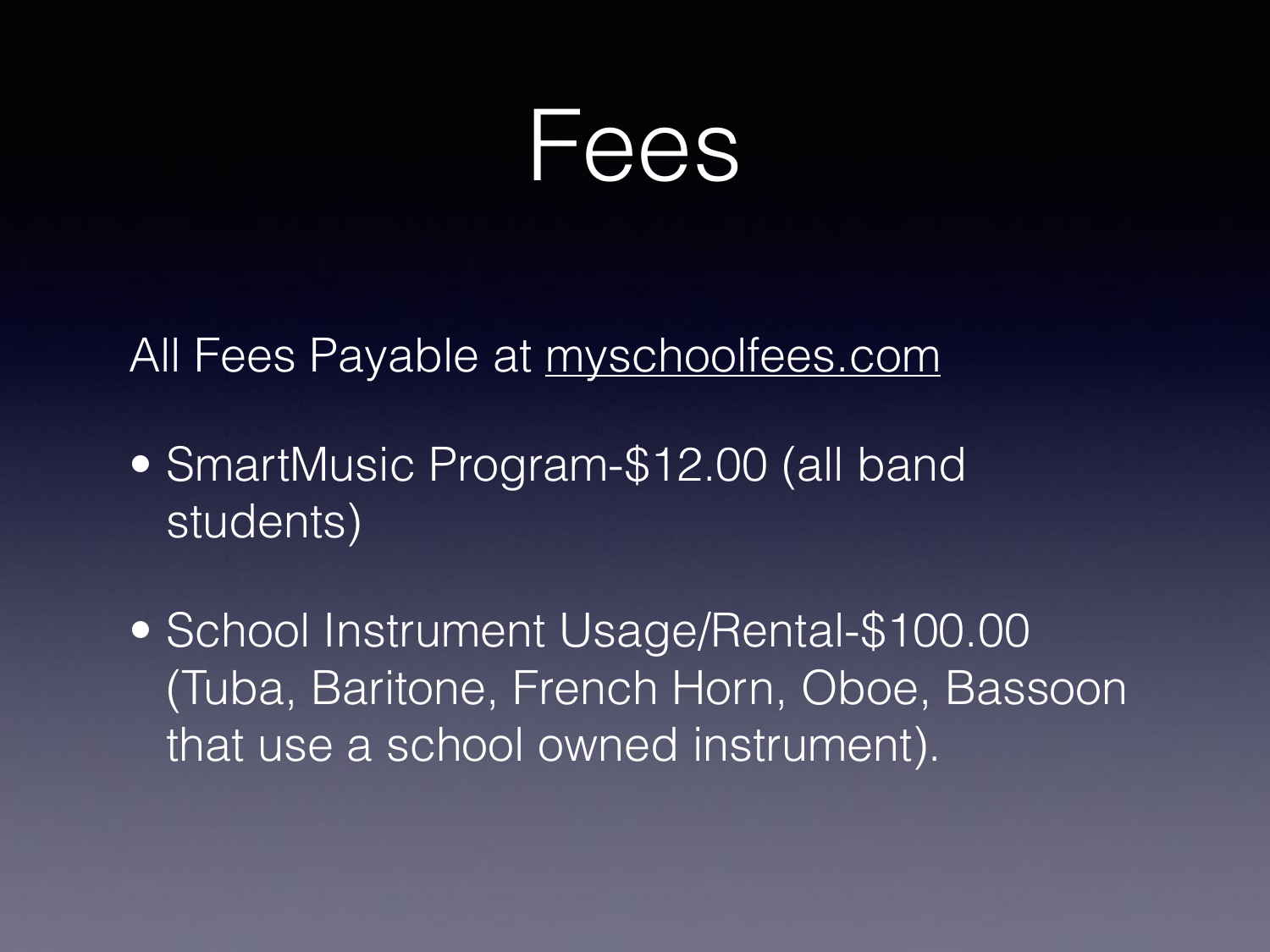### **Fees**

All Fees Payable at myschoolfees.com

• SmartMusic Program-\$12.00 (all band students)

• School Instrument Usage/Rental-\$100.00 (Tuba, Baritone, French Horn, Oboe, Bassoon that use a school owned instrument).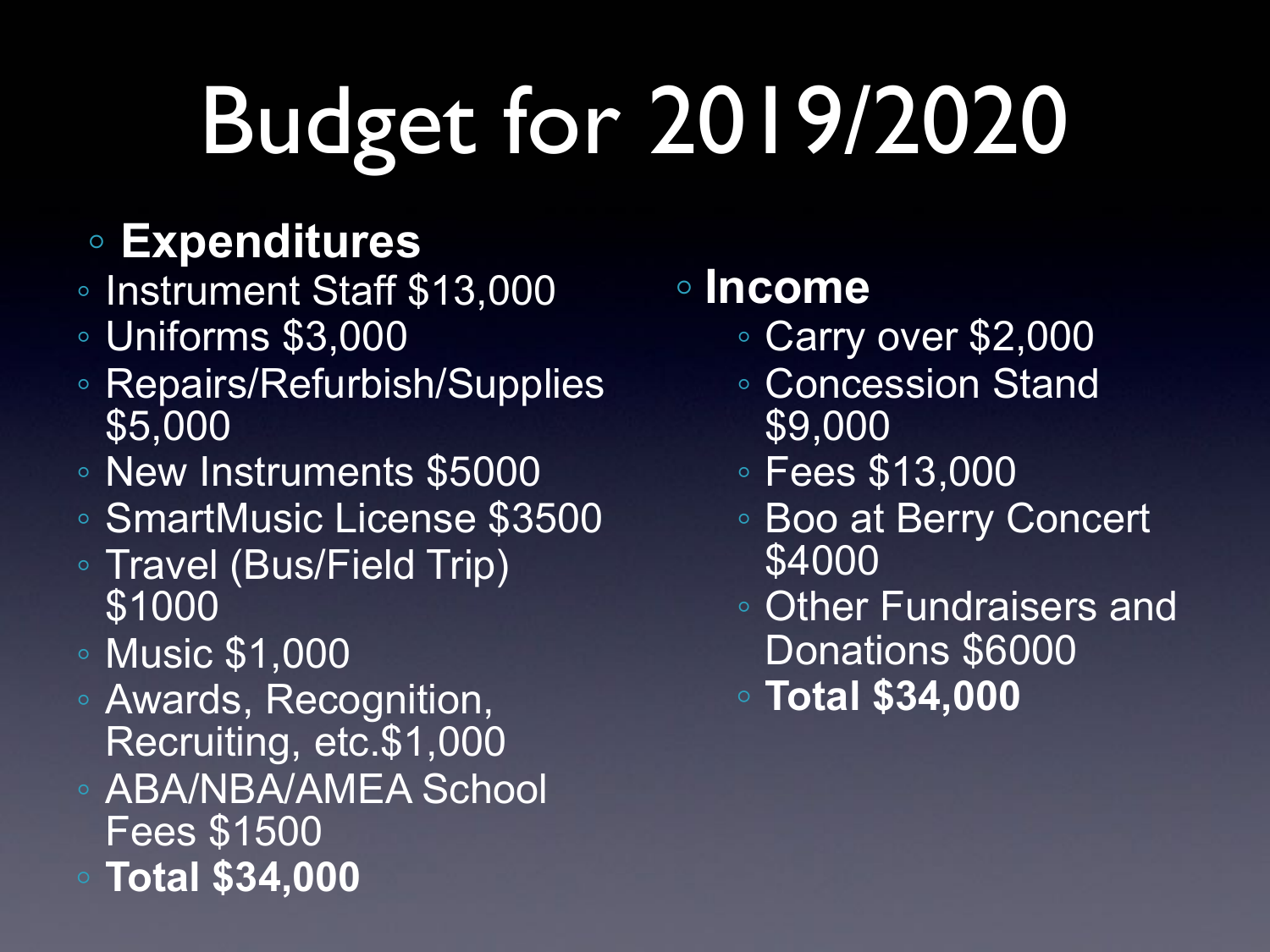# Budget for 2019/2020

#### **◦ Expenditures**

- Instrument Staff \$13,000
- Uniforms \$3,000
- Repairs/Refurbish/Supplies \$5,000
- New Instruments \$5000
- SmartMusic License \$3500
- Travel (Bus/Field Trip) \$1000
- Music \$1,000
- Awards, Recognition, Recruiting, etc.\$1,000
- ABA/NBA/AMEA School Fees \$1500
- **◦ Total \$34,000**

#### **◦ Income**

- Carry over \$2,000
- Concession Stand \$9,000
- Fees \$13,000
- Boo at Berry Concert \$4000
- Other Fundraisers and Donations \$6000
- **◦ Total \$34,000**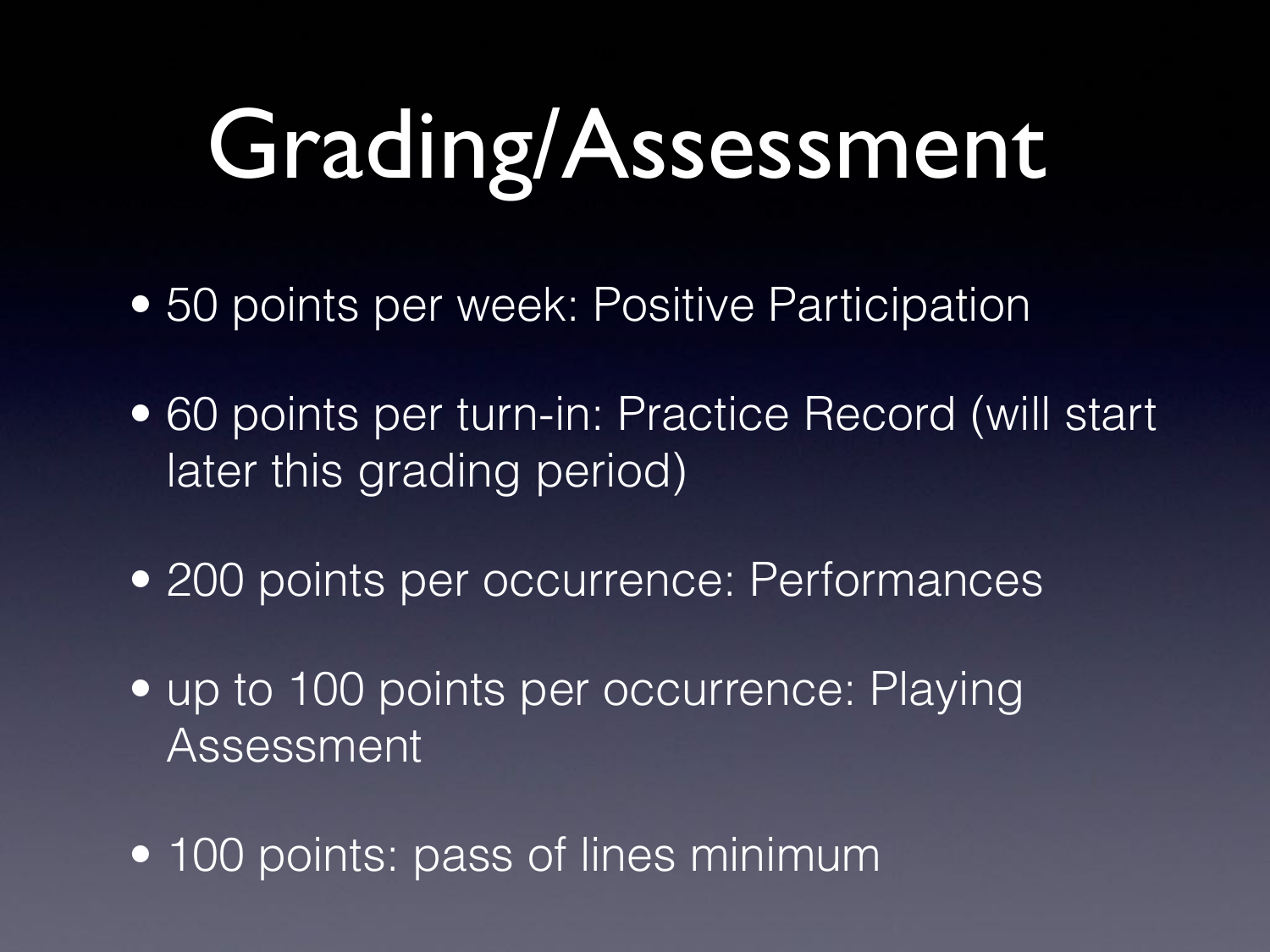## Grading/Assessment

- 50 points per week: Positive Participation
- 60 points per turn-in: Practice Record (will start later this grading period)
- 200 points per occurrence: Performances
- up to 100 points per occurrence: Playing Assessment
- 100 points: pass of lines minimum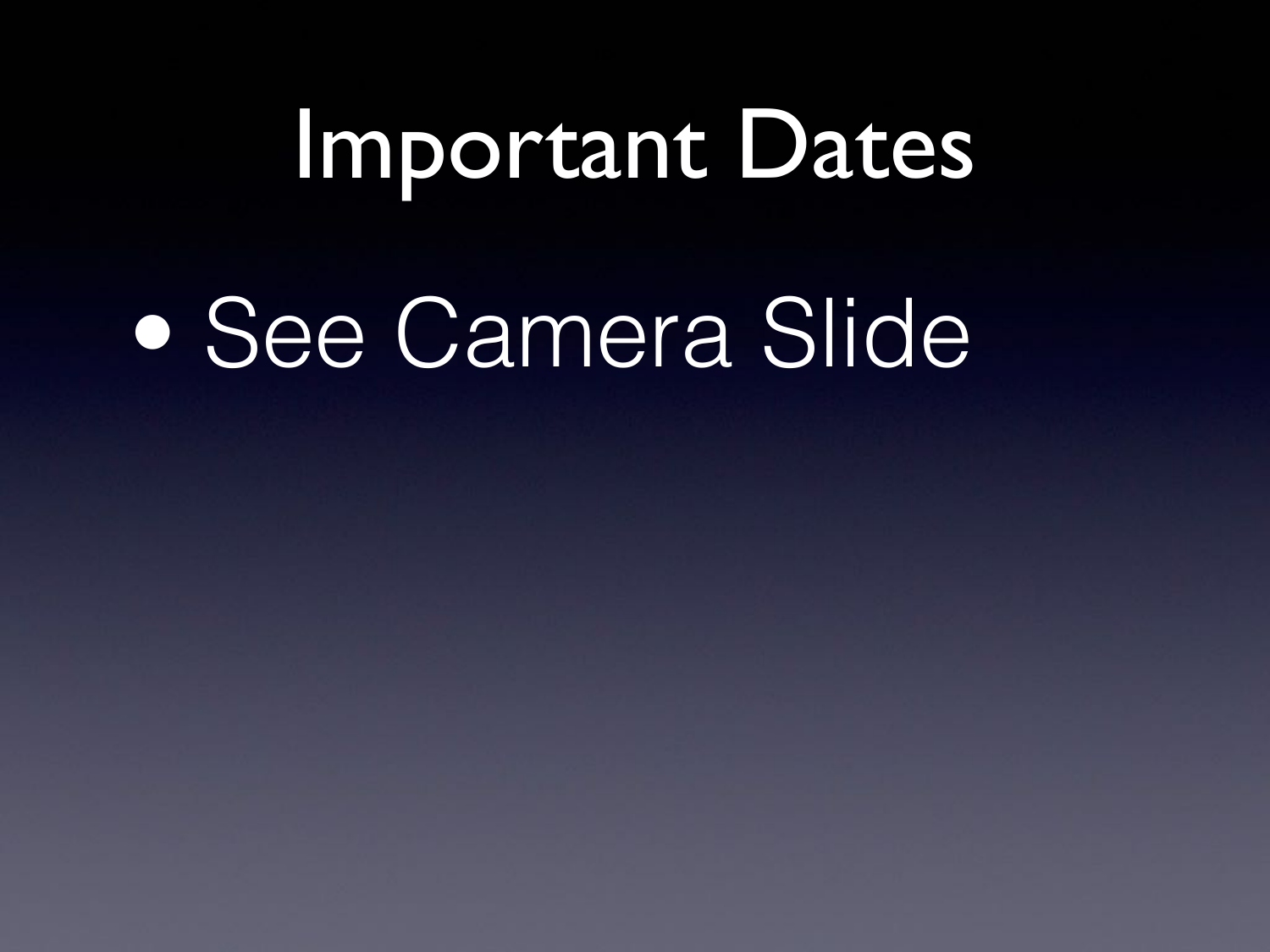#### Important Dates

### • See Camera Slide